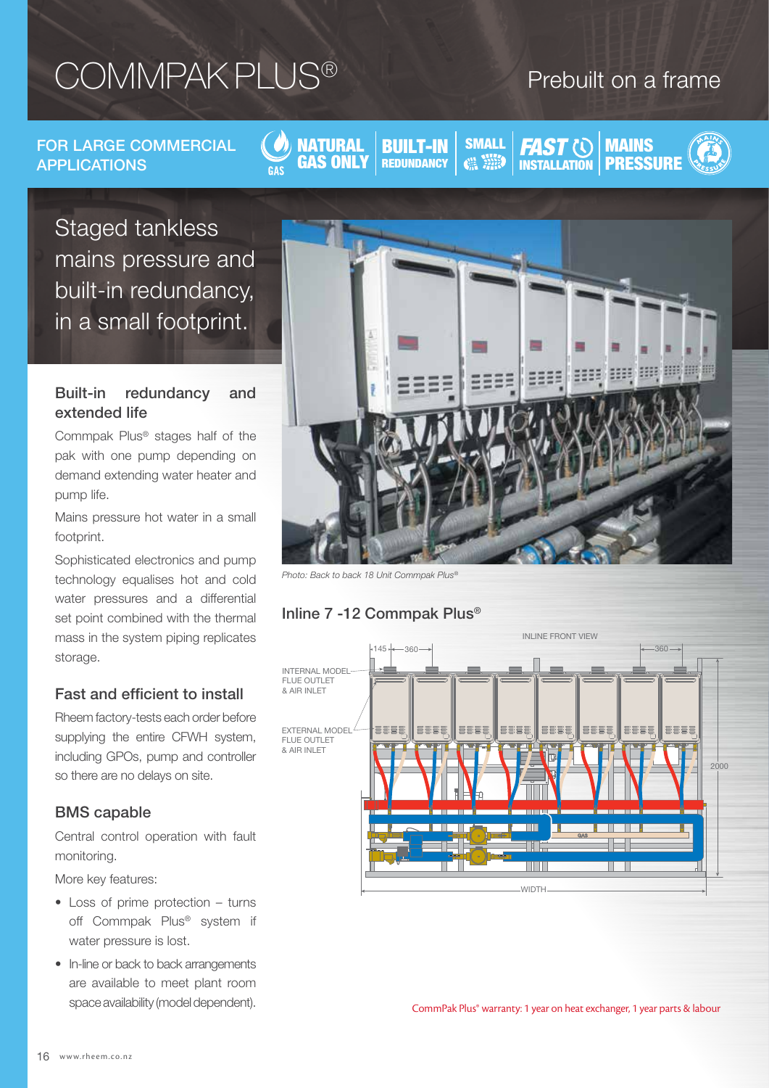# COMMPAK PLUS®

## Prebuilt on a frame

FOR LARGE COMMERCIAL APPLICATIONS

NATURAL GAS ONLY

BUILT-IN **REDUNDANCY** 

**SMALL** 

**MAINS** INSTALLATION | PRESSURE **FAST (0)** 

Staged tankless mains pressure and built-in redundancy, in a small footprint.

#### Built-in redundancy and extended life

Commpak Plus® stages half of the pak with one pump depending on demand extending water heater and pump life.

Mains pressure hot water in a small footprint.

Sophisticated electronics and pump technology equalises hot and cold water pressures and a differential set point combined with the thermal mass in the system piping replicates storage.

### Fast and efficient to install

Rheem factory-tests each order before supplying the entire CFWH system, including GPOs, pump and controller so there are no delays on site.

#### BMS capable

Central control operation with fault monitoring.

More key features:

- Loss of prime protection turns off Commpak Plus® system if water pressure is lost.
- In-line or back to back arrangements are available to meet plant room space availability (model dependent).



*Photo: Back to back 18 Unit Commpak Plus®*



### Inline 7 -12 Commpak Plus®

CommPak Plus® warranty: 1 year on heat exchanger, 1 year parts & labour